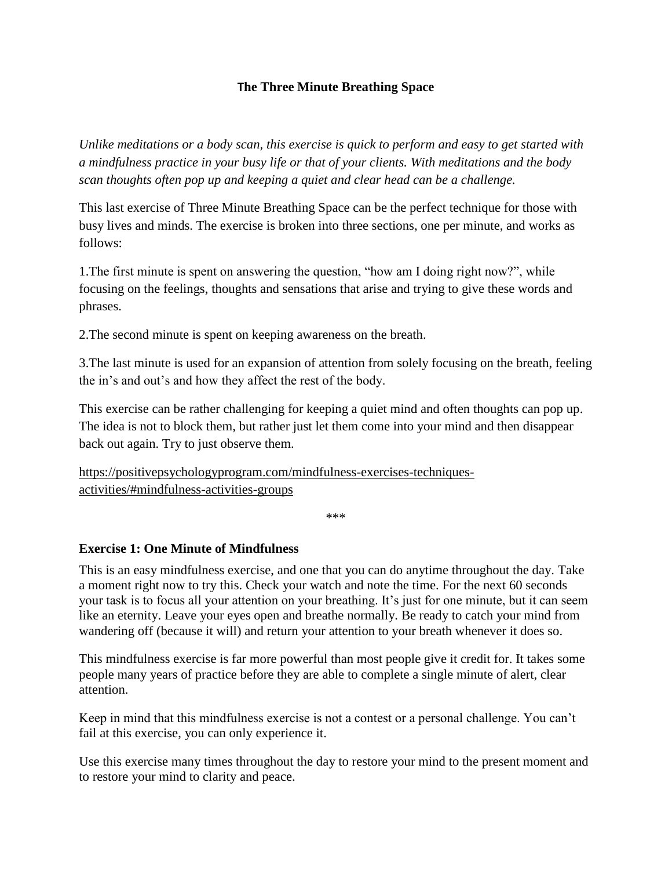# **The Three Minute Breathing Space**

*Unlike meditations or a body scan, this exercise is quick to perform and easy to get started with a mindfulness practice in your busy life or that of your clients. With meditations and the body scan thoughts often pop up and keeping a quiet and clear head can be a challenge.*

This last exercise of Three Minute Breathing Space can be the perfect technique for those with busy lives and minds. The exercise is broken into three sections, one per minute, and works as follows:

1.The first minute is spent on answering the question, "how am I doing right now?", while focusing on the feelings, thoughts and sensations that arise and trying to give these words and phrases.

2.The second minute is spent on keeping awareness on the breath.

3.The last minute is used for an expansion of attention from solely focusing on the breath, feeling the in's and out's and how they affect the rest of the body.

This exercise can be rather challenging for keeping a quiet mind and often thoughts can pop up. The idea is not to block them, but rather just let them come into your mind and then disappear back out again. Try to just observe them.

[https://positivepsychologyprogram.com/mindfulness-exercises-techniques](https://positivepsychologyprogram.com/mindfulness-exercises-techniques-activities/#mindfulness-activities-groups)[activities/#mindfulness-activities-groups](https://positivepsychologyprogram.com/mindfulness-exercises-techniques-activities/#mindfulness-activities-groups)

\*\*\*

# **Exercise 1: One Minute of Mindfulness**

This is an easy mindfulness exercise, and one that you can do anytime throughout the day. Take a moment right now to try this. Check your watch and note the time. For the next 60 seconds your task is to focus all your attention on your breathing. It's just for one minute, but it can seem like an eternity. Leave your eyes open and breathe normally. Be ready to catch your mind from wandering off (because it will) and return your attention to your breath whenever it does so.

This mindfulness exercise is far more powerful than most people give it credit for. It takes some people many years of practice before they are able to complete a single minute of alert, clear attention.

Keep in mind that this mindfulness exercise is not a contest or a personal challenge. You can't fail at this exercise, you can only experience it.

Use this exercise many times throughout the day to restore your mind to the present moment and to restore your mind to clarity and peace.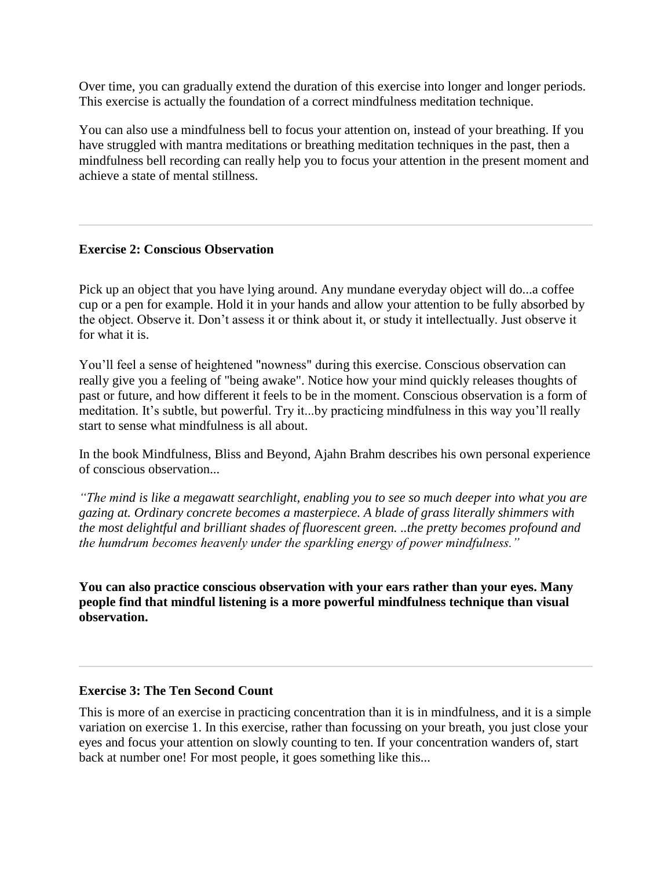Over time, you can gradually extend the duration of this exercise into longer and longer periods. This exercise is actually the foundation of a correct mindfulness meditation technique.

You can also use a mindfulness bell to focus your attention on, instead of your breathing. If you have struggled with mantra meditations or breathing meditation techniques in the past, then a mindfulness bell recording can really help you to focus your attention in the present moment and achieve a state of mental stillness.

## **Exercise 2: Conscious Observation**

Pick up an object that you have lying around. Any mundane everyday object will do...a coffee cup or a pen for example. Hold it in your hands and allow your attention to be fully absorbed by the object. Observe it. Don't assess it or think about it, or study it intellectually. Just observe it for what it is.

You'll feel a sense of heightened "nowness" during this exercise. Conscious observation can really give you a feeling of "being awake". Notice how your mind quickly releases thoughts of past or future, and how different it feels to be in the moment. Conscious observation is a form of meditation. It's subtle, but powerful. Try it...by practicing mindfulness in this way you'll really start to sense what mindfulness is all about.

In the book Mindfulness, Bliss and Beyond, Ajahn Brahm describes his own personal experience of conscious observation...

*"The mind is like a megawatt searchlight, enabling you to see so much deeper into what you are gazing at. Ordinary concrete becomes a masterpiece. A blade of grass literally shimmers with the most delightful and brilliant shades of fluorescent green. ..the pretty becomes profound and the humdrum becomes heavenly under the sparkling energy of power mindfulness."*

**You can also practice conscious observation with your ears rather than your eyes. Many people find that [mindful listening i](https://www.the-guided-meditation-site.com/mindful-listening.html)s a more powerful mindfulness technique than visual observation.**

### **Exercise 3: The Ten Second Count**

This is more of an exercise in practicing concentration than it is in mindfulness, and it is a simple variation on exercise 1. In this exercise, rather than focussing on your breath, you just close your eyes and focus your attention on slowly counting to ten. If your concentration wanders of, start back at number one! For most people, it goes something like this...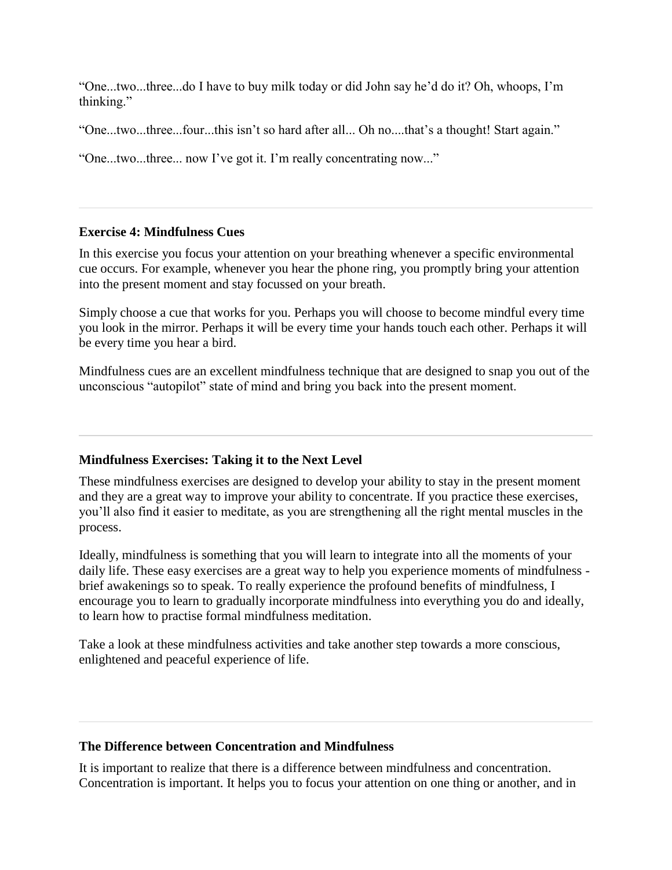"One...two...three...do I have to buy milk today or did John say he'd do it? Oh, whoops, I'm thinking."

"One...two...three...four...this isn't so hard after all... Oh no....that's a thought! Start again."

"One...two...three... now I've got it. I'm really concentrating now..."

## **Exercise 4: Mindfulness Cues**

In this exercise you focus your attention on your breathing whenever a specific environmental cue occurs. For example, whenever you hear the phone ring, you promptly bring your attention into the present moment and stay focussed on your breath.

Simply choose a cue that works for you. Perhaps you will choose to become mindful every time you look in the mirror. Perhaps it will be every time your hands touch each other. Perhaps it will be every time you hear a bird.

Mindfulness cues are an excellent mindfulness technique that are designed to snap you out of the unconscious "autopilot" state of mind and bring you back into the present moment.

# **Mindfulness Exercises: Taking it to the Next Level**

These mindfulness exercises are designed to develop your ability to stay in the present moment and they are a great way to improve your ability to concentrate. If you practice these exercises, you'll also find it easier to meditate, as you are strengthening all the right mental muscles in the process.

Ideally, mindfulness is something that you will learn to integrate into all the moments of your daily life. These easy exercises are a great way to help you experience moments of mindfulness brief awakenings so to speak. To really experience the profound [benefits of mindfulness,](https://www.the-guided-meditation-site.com/mindfulness-benefits.html) I encourage you to learn to gradually incorporate mindfulness into everything you do and ideally, to learn how to practise formal [mindfulness meditation.](https://www.the-guided-meditation-site.com/mindfulness-meditation.html)

Take a look at these [mindfulness activities a](https://www.the-guided-meditation-site.com/mindfulness-activities.html)nd take another step towards a more conscious, enlightened and peaceful experience of life.

# **The Difference between Concentration and Mindfulness**

It is important to realize that there is a difference between mindfulness and concentration. Concentration is important. It helps you to focus your attention on one thing or another, and in